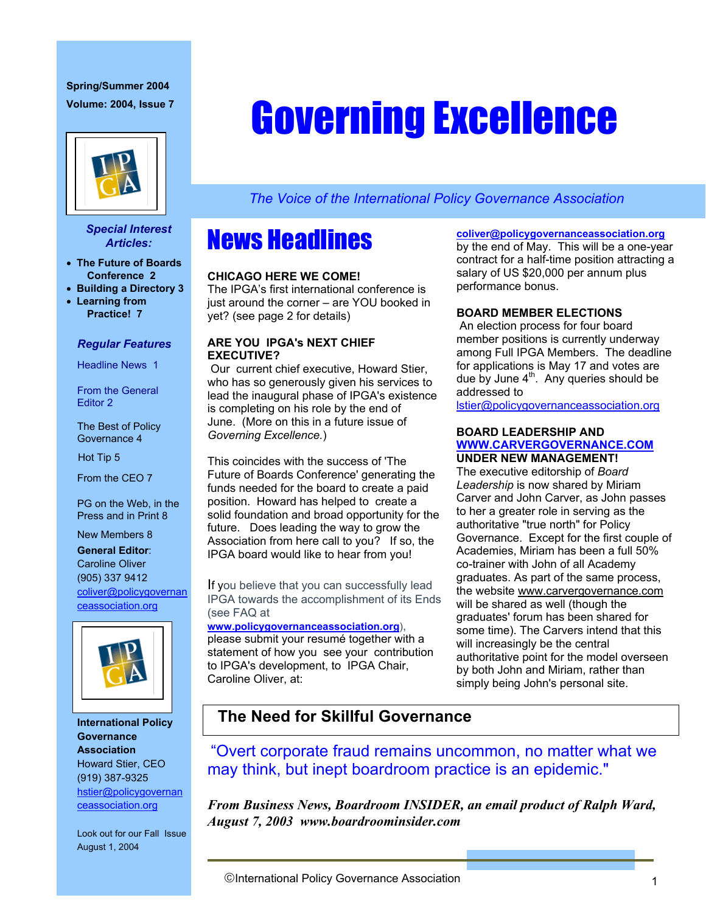# **Spring/Summer 2004**



### *Special Interest Articles:*

- **The Future of Boards Conference 2**
- **Building a Directory 3**
- **Learning from Practice! 7**

## *Regular Features*

Headline News 1

From the General Editor 2

The Best of Policy Governance 4

Hot Tip 5

From the CEO 7

PG on the Web, in the Press and in Print 8

New Members 8 **General Editor**:

Caroline Oliver (905) 337 9412 coliver@policygovernan ceassociation.org



**International Policy Governance Association**  Howard Stier, CEO (919) 387-9325 hstier@policygovernan ceassociation.org

Look out for our Fall Issue August 1, 2004

# Volume: 2004, Issue 7 **Coverning Excellence**

*The Voice of the International Policy Governance Association* 

# News Headlines

## **CHICAGO HERE WE COME!**

The IPGA's first international conference is just around the corner – are YOU booked in yet? (see page 2 for details)

## **ARE YOU IPGA's NEXT CHIEF EXECUTIVE?**

 Our current chief executive, Howard Stier, who has so generously given his services to lead the inaugural phase of IPGA's existence is completing on his role by the end of June.(More on this in a future issue of *Governing Excellence.*)

This coincides with the success of 'The Future of Boards Conference' generating the funds needed for the board to create a paid position. Howard has helped to create a solid foundation and broad opportunity for the future. Does leading the way to grow the Association from here call to you? If so, the IPGA board would like to hear from you!

If you believe that you can successfully lead IPGA towards the accomplishment of its Ends (see FAQ at

**www.policygovernanceassociation.org**),

please submit your resumé together with a statement of how you see your contribution to IPGA's development, to IPGA Chair, Caroline Oliver, at:

## **coliver@policygovernanceassociation.org**

by the end of May. This will be a one-year contract for a half-time position attracting a salary of US \$20,000 per annum plus performance bonus.

## **BOARD MEMBER ELECTIONS**

An election process for four board member positions is currently underway among Full IPGA Members. The deadline for applications is May 17 and votes are due by June  $4<sup>th</sup>$ . Any queries should be addressed to

lstier@policygovernanceassociation.org

### **BOARD LEADERSHIP AND WWW.CARVERGOVERNANCE.COM UNDER NEW MANAGEMENT!**

The executive editorship of *Board Leadership* is now shared by Miriam Carver and John Carver, as John passes to her a greater role in serving as the authoritative "true north" for Policy Governance. Except for the first couple of Academies, Miriam has been a full 50% co-trainer with John of all Academy graduates. As part of the same process, the website www.carvergovernance.com will be shared as well (though the graduates' forum has been shared for some time). The Carvers intend that this will increasingly be the central authoritative point for the model overseen by both John and Miriam, rather than simply being John's personal site.

# **The Need for Skillful Governance**

"Overt corporate fraud remains uncommon, no matter what we may think, but inept boardroom practice is an epidemic."

*From Business News, Boardroom INSIDER, an email product of Ralph Ward, August 7, 2003 www.boardroominsider.com*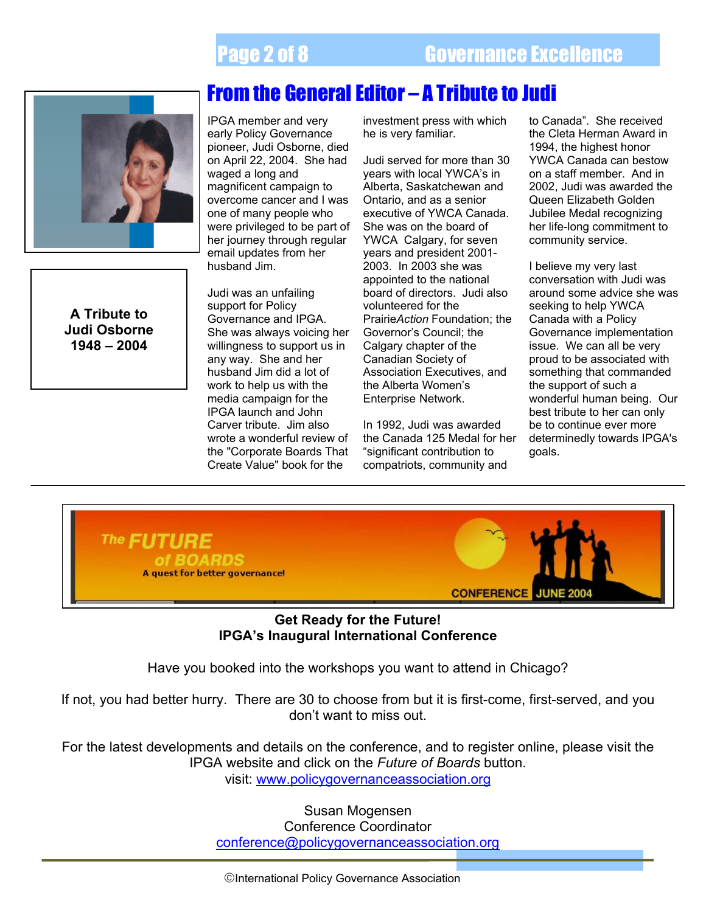

**A Tribute to Judi Osborne 1948 – 2004** 

j

IPGA member and very early Policy Governance pioneer, Judi Osborne, died on April 22, 2004. She had waged a long and magnificent campaign to overcome cancer and I was one of many people who were privileged to be part of her journey through regular email updates from her husband Jim.

Judi was an unfailing support for Policy Governance and IPGA. She was always voicing her willingness to support us in any way. She and her husband Jim did a lot of work to help us with the media campaign for the IPGA launch and John Carver tribute. Jim also wrote a wonderful review of the "Corporate Boards That Create Value" book for the

investment press with which he is very familiar.

Judi served for more than 30 years with local YWCA's in Alberta, Saskatchewan and Ontario, and as a senior executive of YWCA Canada. She was on the board of YWCA Calgary, for seven years and president 2001- 2003. In 2003 she was appointed to the national board of directors. Judi also volunteered for the Prairie*Action* Foundation; the Governor's Council; the Calgary chapter of the Canadian Society of Association Executives, and the Alberta Women's Enterprise Network.

In 1992, Judi was awarded the Canada 125 Medal for her "significant contribution to compatriots, community and

to Canada". She received the Cleta Herman Award in 1994, the highest honor YWCA Canada can bestow on a staff member. And in 2002, Judi was awarded the Queen Elizabeth Golden Jubilee Medal recognizing her life-long commitment to community service.

I believe my very last conversation with Judi was around some advice she was seeking to help YWCA Canada with a Policy Governance implementation issue. We can all be very proud to be associated with something that commanded the support of such a wonderful human being. Our best tribute to her can only be to continue ever more determinedly towards IPGA's goals.



## **Get Ready for the Future! IPGA's Inaugural International Conference**

Have you booked into the workshops you want to attend in Chicago?

If not, you had better hurry. There are 30 to choose from but it is first-come, first-served, and you don't want to miss out.

For the latest developments and details on the conference, and to register online, please visit the IPGA website and click on the *Future of Boards* button.

visit: www.policygovernanceassociation.org

Susan Mogensen Conference Coordinator conference@policygovernanceassociation.org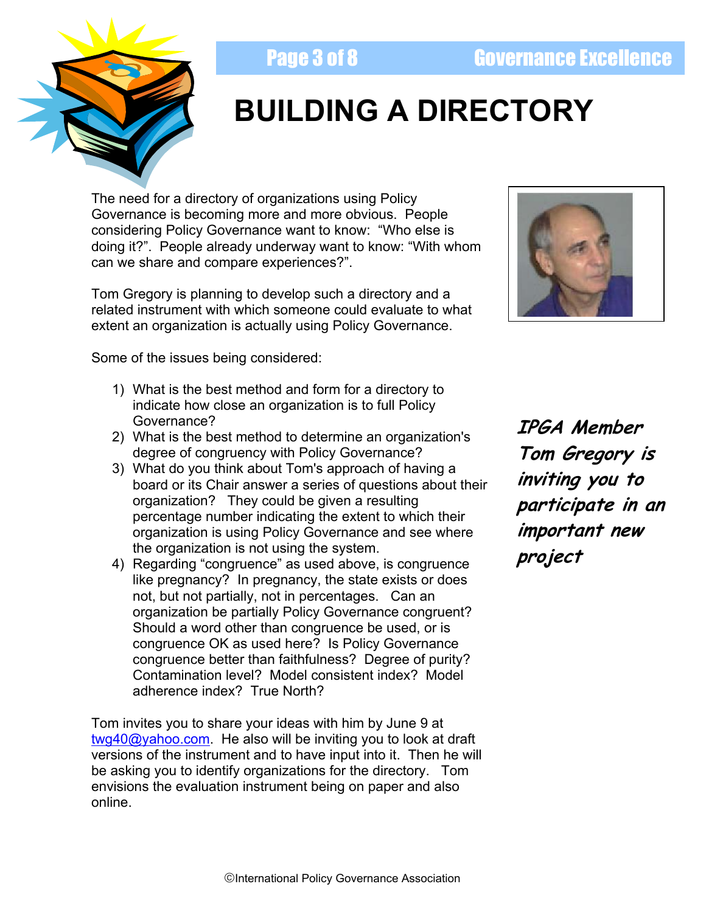# **Page 3 of 8 Governance Excellence**



# **BUILDING A DIRECTORY**

 considering Policy Governance want to know: "Who else is The need for a directory of organizations using Policy Governance is becoming more and more obvious. People doing it?". People already underway want to know: "With whom can we share and compare experiences?".

Tom Gregory is planning to develop such a directory and a related instrument with which someone could evaluate to what extent an organization is actually using Policy Governance.

Some of the issues being considered:

- 1) What is the best method and form for a directory to indicate how close an organization is to full Policy Governance?
- 2) What is the best method to determine an organization's degree of congruency with Policy Governance?
- 3) What do you think about Tom's approach of having a board or its Chair answer a series of questions about their organization? They could be given a resulting percentage number indicating the extent to which their organization is using Policy Governance and see where the organization is not using the system.
- 4) Regarding "congruence" as used above, is congruence like pregnancy? In pregnancy, the state exists or does not, but not partially, not in percentages. Can an organization be partially Policy Governance congruent? Should a word other than congruence be used, or is congruence OK as used here? Is Policy Governance congruence better than faithfulness? Degree of purity? Contamination level? Model consistent index? Model adherence index? True North?

Tom invites you to share your ideas with him by June 9 at twg40@yahoo.com. He also will be inviting you to look at draft versions of the instrument and to have input into it. Then he will be asking you to identify organizations for the directory. Tom envisions the evaluation instrument being on paper and also online.



**IPGA Member Tom Gregory is inviting you to participate in an important new project**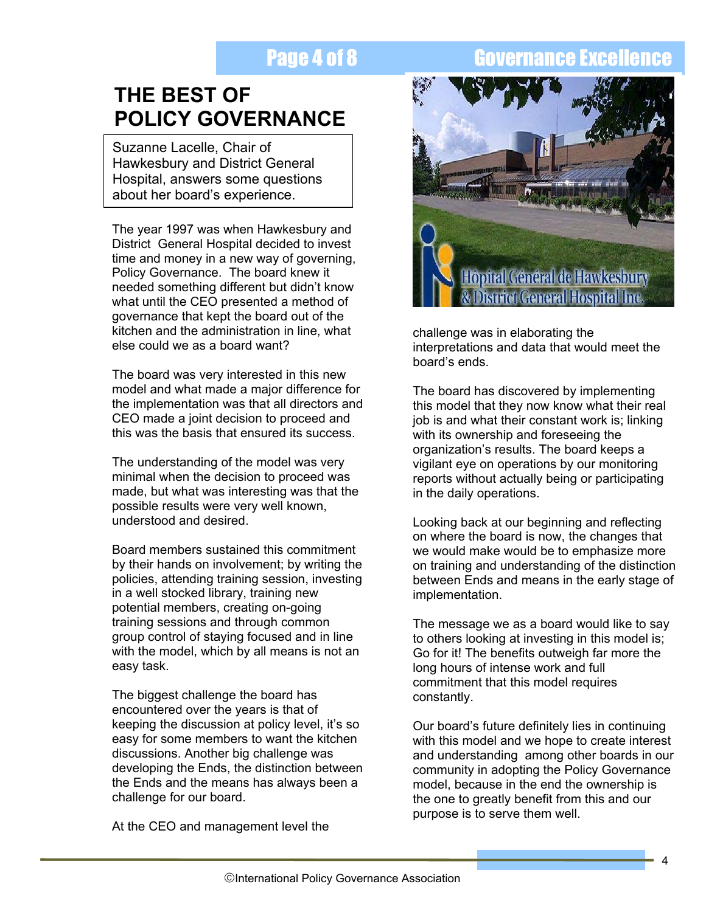# Page 4 of 8 Governance Excellence

# **THE BEST OF POLICY GOVERNANCE**

Suzanne Lacelle, Chair of Hawkesbury and District General Hospital, answers some questions about her board's experience.

The year 1997 was when Hawkesbury and District General Hospital decided to invest time and money in a new way of governing, Policy Governance. The board knew it needed something different but didn't know what until the CEO presented a method of governance that kept the board out of the kitchen and the administration in line, what else could we as a board want?

The board was very interested in this new model and what made a major difference for the implementation was that all directors and CEO made a joint decision to proceed and this was the basis that ensured its success.

The understanding of the model was very minimal when the decision to proceed was made, but what was interesting was that the possible results were very well known, understood and desired.

Board members sustained this commitment by their hands on involvement; by writing the policies, attending training session, investing in a well stocked library, training new potential members, creating on-going training sessions and through common group control of staying focused and in line with the model, which by all means is not an easy task.

The biggest challenge the board has encountered over the years is that of keeping the discussion at policy level, it's so easy for some members to want the kitchen discussions. Another big challenge was developing the Ends, the distinction between the Ends and the means has always been a challenge for our board.

At the CEO and management level the



challenge was in elaborating the interpretations and data that would meet the board's ends.

The board has discovered by implementing this model that they now know what their real job is and what their constant work is; linking with its ownership and foreseeing the organization's results. The board keeps a vigilant eye on operations by our monitoring reports without actually being or participating in the daily operations.

Looking back at our beginning and reflecting on where the board is now, the changes that we would make would be to emphasize more on training and understanding of the distinction between Ends and means in the early stage of implementation.

The message we as a board would like to say to others looking at investing in this model is; Go for it! The benefits outweigh far more the long hours of intense work and full commitment that this model requires constantly.

Our board's future definitely lies in continuing with this model and we hope to create interest and understanding among other boards in our community in adopting the Policy Governance model, because in the end the ownership is the one to greatly benefit from this and our purpose is to serve them well.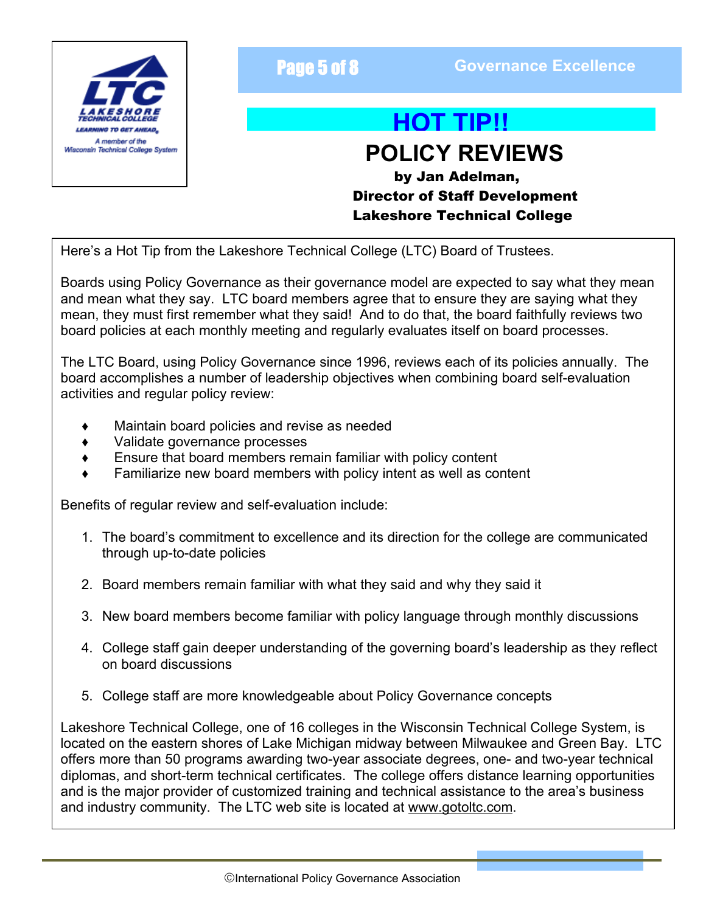

**Page 5 of 8 <b>Governance Excellence Page 5 of 8** 

# **HOT TIP!!**

# *Misconsin Technical College System* **Now the college System REVIEWS**

by Jan Adelman, Director of Staff Development Lakeshore Technical College

Here's a Hot Tip from the Lakeshore Technical College (LTC) Board of Trustees.

Boards using Policy Governance as their governance model are expected to say what they mean and mean what they say. LTC board members agree that to ensure they are saying what they mean, they must first remember what they said! And to do that, the board faithfully reviews two board policies at each monthly meeting and regularly evaluates itself on board processes.

The LTC Board, using Policy Governance since 1996, reviews each of its policies annually. The board accomplishes a number of leadership objectives when combining board self-evaluation activities and regular policy review:

- Maintain board policies and revise as needed
- ' Validate governance processes
- ' Ensure that board members remain familiar with policy content
- Familiarize new board members with policy intent as well as content

Benefits of regular review and self-evaluation include:

- 1. The board's commitment to excellence and its direction for the college are communicated through up-to-date policies
- 2. Board members remain familiar with what they said and why they said it
- 3. New board members become familiar with policy language through monthly discussions
- 4. College staff gain deeper understanding of the governing board's leadership as they reflect on board discussions
- 5. College staff are more knowledgeable about Policy Governance concepts

Lakeshore Technical College, one of 16 colleges in the Wisconsin Technical College System, is located on the eastern shores of Lake Michigan midway between Milwaukee and Green Bay. LTC offers more than 50 programs awarding two-year associate degrees, one- and two-year technical diplomas, and short-term technical certificates. The college offers distance learning opportunities and is the major provider of customized training and technical assistance to the area's business and industry community. The LTC web site is located at www.gotoltc.com.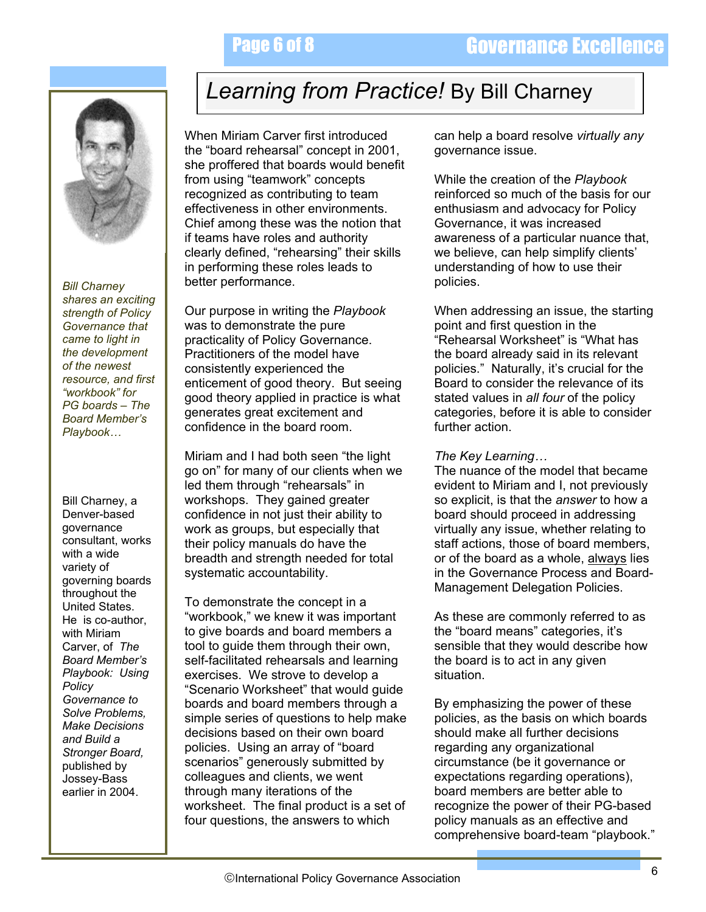

*Bill Charney shares an exciting strength of Policy Governance that came to light in the development of the newest resource, and first "workbook" for PG boards – The Board Member's Playbook…* 

Bill Charney, a Denver-based governance consultant, works with a wide variety of governing boards throughout the United States. He is co-author, with Miriam Carver, of *The Board Member's Playbook: Using Policy Governance to Solve Problems, Make Decisions and Build a Stronger Board,*  published by Jossey-Bass earlier in 2004.

# *Learning from Practice!* By Bill Charney

When Miriam Carver first introduced the "board rehearsal" concept in 2001, she proffered that boards would benefit from using "teamwork" concepts recognized as contributing to team effectiveness in other environments. Chief among these was the notion that if teams have roles and authority clearly defined, "rehearsing" their skills in performing these roles leads to better performance.

Our purpose in writing the *Playbook*  was to demonstrate the pure practicality of Policy Governance. Practitioners of the model have consistently experienced the enticement of good theory. But seeing good theory applied in practice is what generates great excitement and confidence in the board room.

Miriam and I had both seen "the light go on" for many of our clients when we led them through "rehearsals" in workshops. They gained greater confidence in not just their ability to work as groups, but especially that their policy manuals do have the breadth and strength needed for total systematic accountability.

To demonstrate the concept in a "workbook," we knew it was important to give boards and board members a tool to guide them through their own, self-facilitated rehearsals and learning exercises. We strove to develop a "Scenario Worksheet" that would guide boards and board members through a simple series of questions to help make decisions based on their own board policies. Using an array of "board scenarios" generously submitted by colleagues and clients, we went through many iterations of the worksheet. The final product is a set of four questions, the answers to which

can help a board resolve *virtually any* governance issue.

While the creation of the *Playbook* reinforced so much of the basis for our enthusiasm and advocacy for Policy Governance, it was increased awareness of a particular nuance that, we believe, can help simplify clients' understanding of how to use their policies.

When addressing an issue, the starting point and first question in the "Rehearsal Worksheet" is "What has the board already said in its relevant policies." Naturally, it's crucial for the Board to consider the relevance of its stated values in *all four* of the policy categories, before it is able to consider further action.

*The Key Learning…* 

The nuance of the model that became evident to Miriam and I, not previously so explicit, is that the *answer* to how a board should proceed in addressing virtually any issue, whether relating to staff actions, those of board members, or of the board as a whole, always lies in the Governance Process and Board-Management Delegation Policies.

As these are commonly referred to as the "board means" categories, it's sensible that they would describe how the board is to act in any given situation.

By emphasizing the power of these policies, as the basis on which boards should make all further decisions regarding any organizational circumstance (be it governance or expectations regarding operations), board members are better able to recognize the power of their PG-based policy manuals as an effective and comprehensive board-team "playbook."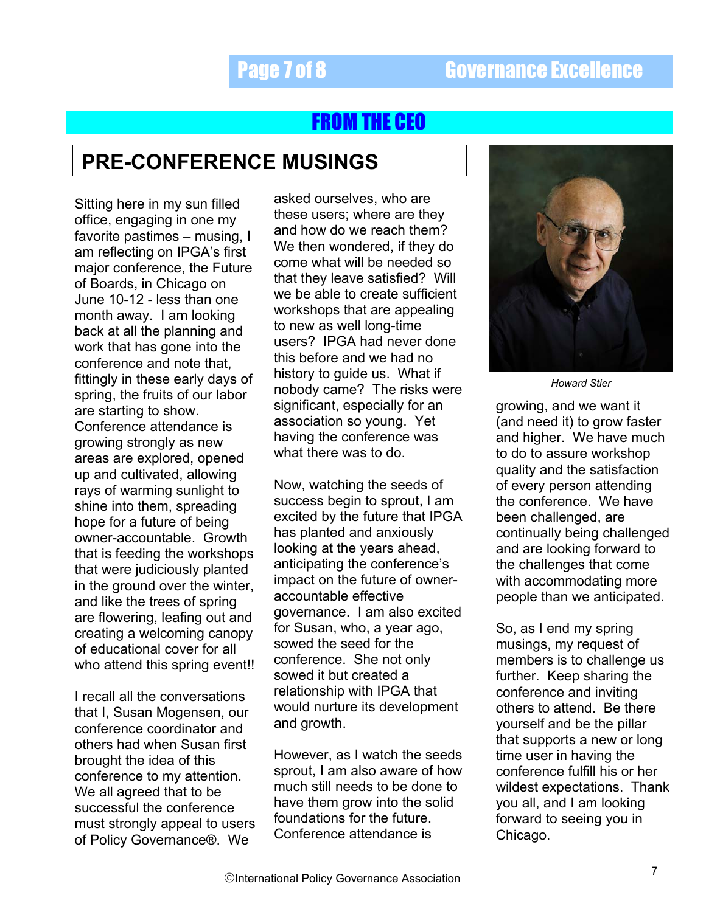# FROM THE CEO

# **PRE-CONFERENCE MUSINGS**

Sitting here in my sun filled office, engaging in one my favorite pastimes – musing, I am reflecting on IPGA's first major conference, the Future of Boards, in Chicago on June 10-12 - less than one month away. I am looking back at all the planning and work that has gone into the conference and note that, fittingly in these early days of spring, the fruits of our labor are starting to show. Conference attendance is growing strongly as new areas are explored, opened up and cultivated, allowing rays of warming sunlight to shine into them, spreading hope for a future of being owner-accountable. Growth that is feeding the workshops that were judiciously planted in the ground over the winter, and like the trees of spring are flowering, leafing out and creating a welcoming canopy of educational cover for all who attend this spring event!!

I recall all the conversations that I, Susan Mogensen, our conference coordinator and others had when Susan first brought the idea of this conference to my attention. We all agreed that to be successful the conference must strongly appeal to users of Policy Governance®. We

asked ourselves, who are these users; where are they and how do we reach them? We then wondered, if they do come what will be needed so that they leave satisfied? Will we be able to create sufficient workshops that are appealing to new as well long-time users? IPGA had never done this before and we had no history to guide us. What if nobody came? The risks were significant, especially for an association so young. Yet having the conference was what there was to do.

Now, watching the seeds of success begin to sprout, I am excited by the future that IPGA has planted and anxiously looking at the years ahead, anticipating the conference's impact on the future of owneraccountable effective governance. I am also excited for Susan, who, a year ago, sowed the seed for the conference. She not only sowed it but created a relationship with IPGA that would nurture its development and growth.

However, as I watch the seeds sprout, I am also aware of how much still needs to be done to have them grow into the solid foundations for the future. Conference attendance is



*Howard Stier* 

growing, and we want it (and need it) to grow faster and higher. We have much to do to assure workshop quality and the satisfaction of every person attending the conference. We have been challenged, are continually being challenged and are looking forward to the challenges that come with accommodating more people than we anticipated.

So, as I end my spring musings, my request of members is to challenge us further. Keep sharing the conference and inviting others to attend. Be there yourself and be the pillar that supports a new or long time user in having the conference fulfill his or her wildest expectations. Thank you all, and I am looking forward to seeing you in Chicago.